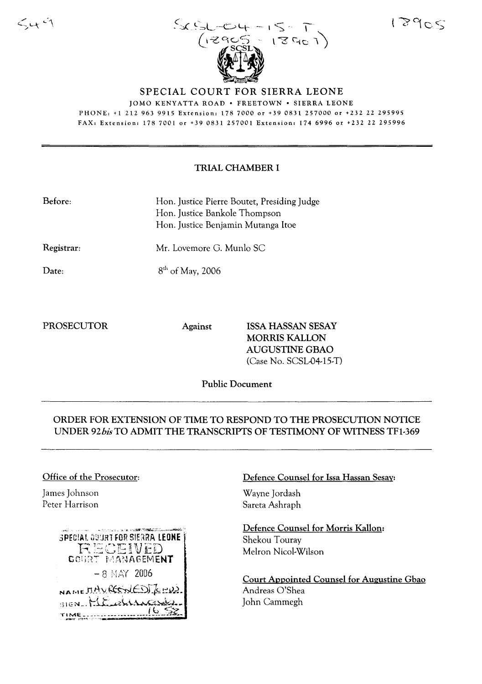$S_x S_{x-x+y-1} S_{x} T$  $(3901)$ 

JOMO KENYATTA ROAD· FREETOWN· SIERRA LEONE PHONE, +1 212 963 9915 Extension, 178 7000 or +39 0831 257000 or +232 22 295995 FAX, Extension: 1787001 or +39 0831257001 Extension: 1746996 or +232 22 295996

SPECIAL COURT FOR SIERRA LEONE

## TRIAL CHAMBER I

| Before: | Hon. Justice Pierre Boutet, Presiding Judge |
|---------|---------------------------------------------|
|         | Hon. Justice Bankole Thompson               |
|         | Hon. Justice Benjamin Mutanga Itoe          |

Registrar:

Date:

 $\leq$  4  $\leq$ 

8<sup>th</sup> of May, 2006

Mr. Lovemore G. Munlo SC

PROSECUTOR Against ISSA HASSAN SESAY MORRIS KALLON AUGUSTINE GBAO  $(Case No. SCSL-04-15-T)$ 

Public Document

# ORDER FOR EXTENSION OF TIME TO RESPOND TO THE PROSECUTION NOTICE UNDER 92*his* TO ADMIT THE TRANSCRIPTS OF TESTIMONY OF WITNESS TFl-369

#### Office of the Prosecutor:

James Johnson Peter Harrison



## Defence Counsel for Issa Hassan Sesay:

Wayne Jordash Sareta Ashraph

Defence Counsel for Morris Kallon: Shekou Touray Melron Nicol-Wilson

Court Appointed Counsel for Augustine Gbao Andreas O'Shea John Cammegh

# 18905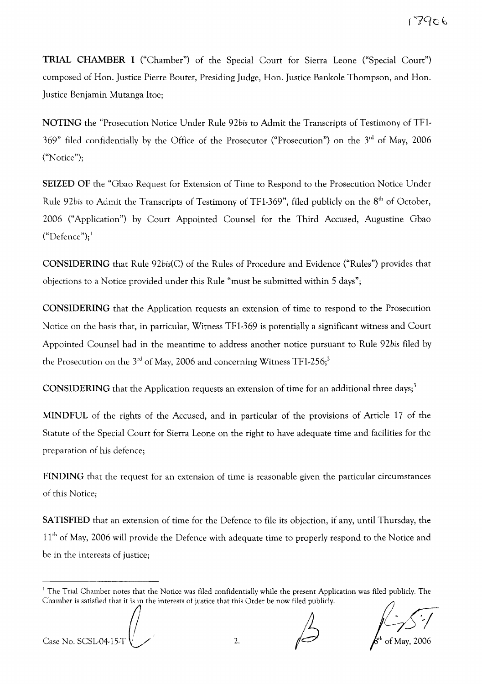TRIAL CHAMBER I ("Chamber") of the Special Court for Sierra Leone ("Special Court") composed of Hon. Justice Pierre Boutet, Presiding Judge, Hon. Justice Bankole Thompson, and Hon. Justice Benjamin Mutanga Itoe;

NOTING the "Prosecution Notice Under Rule 92bis to Admit the Transcripts of Testimony of TF1-369" filed confidentially by the Office of the Prosecutor ("Prosecution") on the 3rd of May, 2006 ("Notice");

SEIZED OF the "Gbao Request for Extension of Time to Respond to the Prosecution Notice Under Rule 92bis to Admit the Transcripts of Testimony of TF1-369", filed publicly on the 8<sup>th</sup> of October, 2006 ("Application") by Court Appointed Counsel for the Third Accused, Augustine Gbao  $("Defence");'$ 

CONSIDERING that Rule 92bis(C) of the Rules of Procedure and Evidence ("Rules") provides that objections to a Notice provided under this Rule "must be submitted within 5 days";

CONSIDERING that the Application requests an extension of time to respond to the Prosecution Notice on the basis that, in particular, Witness TF1-369 is potentially a significant witness and Court Appointed Counsel had in the meantime to address another notice pursuant to Rule *92bis* filed by the Prosecution on the  $3<sup>rd</sup>$  of May, 2006 and concerning Witness TF1-256;<sup>2</sup>

CONSIDERING that the Application requests an extension of time for an additional three days;<sup>3</sup>

MINDFUL of the rights of the Accused, and in particular of the provisions of Article 17 of the Statute of the Special Court for Sierra Leone on the right to have adequate time and facilities for the preparation of his defence;

FINDING that the request for an extension of time is reasonable given the particular circumstances of this Notice;

SATISFIED that an extension of time for the Defence to file its objection, if any, until Thursday, the 11<sup>th</sup> of May, 2006 will provide the Defence with adequate time to properly respond to the Notice and be in the interests of justice;

Case No. SCSL04-15-T  $\bigcup_{2}$  2.

If The Trial Chamber notes that the Notice was filed confidentially while the present Application was filed publicly. The Chamber is satisfied that it is in the interests of justice that this Order be now filed publicly.<br>C Chamber is satisfied that it is in the interests of justice that this Order be now filed publicly.